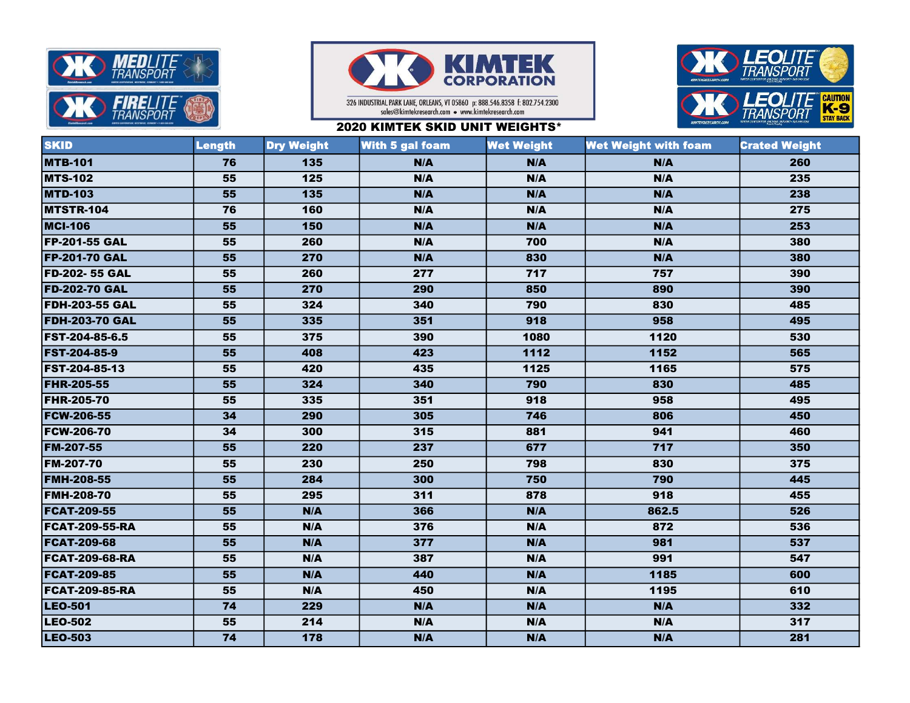



326 INDUSTRIAL PARK LANE, ORLEANS, VT 05860 p: 888.546.8358 f: 802.754.2300 sales@kimtekresearch.com • www.kimtekresearch.com





| <b>SKID</b>           | Length | <b>Dry Weight</b> | <b>With 5 gal foam</b> | <b>Wet Weight</b> | <b>Wet Weight with foam</b> | <b>Crated Weight</b> |
|-----------------------|--------|-------------------|------------------------|-------------------|-----------------------------|----------------------|
| <b>MTB-101</b>        | 76     | 135               | N/A                    | N/A               | N/A                         | 260                  |
| <b>MTS-102</b>        | 55     | $\overline{125}$  | N/A                    | N/A               | N/A                         | 235                  |
| <b>MTD-103</b>        | 55     | 135               | N/A                    | N/A               | N/A                         | 238                  |
| MTSTR-104             | 76     | 160               | N/A                    | N/A               | N/A                         | 275                  |
| <b>MCI-106</b>        | 55     | 150               | N/A                    | N/A               | N/A                         | 253                  |
| <b>FP-201-55 GAL</b>  | 55     | 260               | N/A                    | 700               | N/A                         | 380                  |
| <b>FP-201-70 GAL</b>  | 55     | 270               | N/A                    | 830               | N/A                         | 380                  |
| <b>FD-202-55 GAL</b>  | 55     | 260               | 277                    | 717               | 757                         | 390                  |
| <b>FD-202-70 GAL</b>  | 55     | 270               | 290                    | 850               | 890                         | 390                  |
| <b>FDH-203-55 GAL</b> | 55     | 324               | 340                    | 790               | 830                         | 485                  |
| <b>FDH-203-70 GAL</b> | 55     | 335               | 351                    | 918               | 958                         | 495                  |
| <b>FST-204-85-6.5</b> | 55     | 375               | 390                    | 1080              | 1120                        | 530                  |
| <b>FST-204-85-9</b>   | 55     | 408               | 423                    | 1112              | 1152                        | 565                  |
| <b>FST-204-85-13</b>  | 55     | 420               | 435                    | 1125              | 1165                        | 575                  |
| <b>FHR-205-55</b>     | 55     | 324               | 340                    | 790               | 830                         | 485                  |
| <b>FHR-205-70</b>     | 55     | 335               | 351                    | 918               | 958                         | 495                  |
| <b>FCW-206-55</b>     | 34     | 290               | 305                    | 746               | 806                         | 450                  |
| <b>FCW-206-70</b>     | 34     | 300               | 315                    | 881               | 941                         | 460                  |
| FM-207-55             | 55     | 220               | 237                    | 677               | 717                         | 350                  |
| <b>FM-207-70</b>      | 55     | 230               | 250                    | 798               | 830                         | 375                  |
| <b>FMH-208-55</b>     | 55     | 284               | 300                    | 750               | 790                         | 445                  |
| <b>FMH-208-70</b>     | 55     | 295               | 311                    | 878               | 918                         | 455                  |
| <b>FCAT-209-55</b>    | 55     | N/A               | 366                    | N/A               | 862.5                       | 526                  |
| <b>FCAT-209-55-RA</b> | 55     | N/A               | 376                    | N/A               | 872                         | 536                  |
| <b>FCAT-209-68</b>    | 55     | N/A               | 377                    | N/A               | 981                         | 537                  |
| <b>FCAT-209-68-RA</b> | 55     | N/A               | 387                    | N/A               | 991                         | 547                  |
| <b>FCAT-209-85</b>    | 55     | N/A               | 440                    | N/A               | 1185                        | 600                  |
| <b>FCAT-209-85-RA</b> | 55     | N/A               | 450                    | N/A               | 1195                        | 610                  |
| <b>LEO-501</b>        | 74     | 229               | N/A                    | N/A               | N/A                         | 332                  |
| <b>LEO-502</b>        | 55     | 214               | N/A                    | N/A               | N/A                         | 317                  |
| <b>LEO-503</b>        | 74     | 178               | N/A                    | N/A               | N/A                         | 281                  |